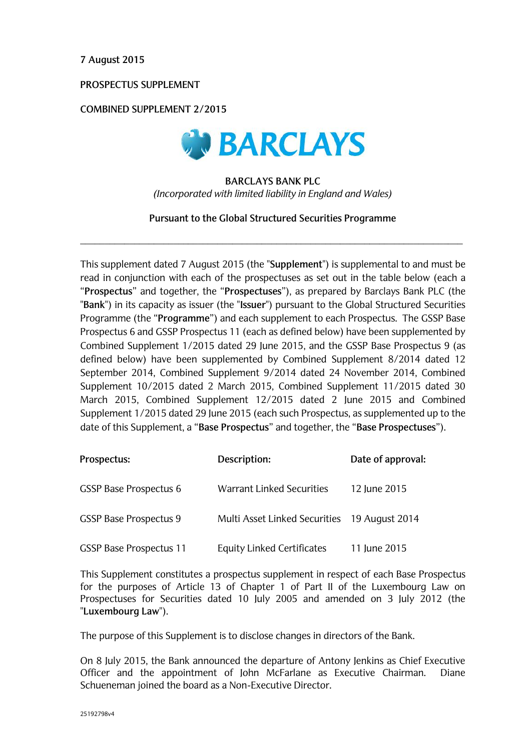**7 August 2015**

**PROSPECTUS SUPPLEMENT** 

**COMBINED SUPPLEMENT 2/2015**



## **BARCLAYS BANK PLC**  *(Incorporated with limited liability in England and Wales)*

**Pursuant to the Global Structured Securities Programme** 

\_\_\_\_\_\_\_\_\_\_\_\_\_\_\_\_\_\_\_\_\_\_\_\_\_\_\_\_\_\_\_\_\_\_\_\_\_\_\_\_\_\_\_\_\_\_\_\_\_\_\_\_\_\_\_\_\_\_\_\_\_\_\_\_\_\_\_\_\_\_\_\_\_\_\_\_\_\_

This supplement dated 7 August 2015 (the "**Supplement**") is supplemental to and must be read in conjunction with each of the prospectuses as set out in the table below (each a "**Prospectus**" and together, the "**Prospectuses**"), as prepared by Barclays Bank PLC (the "**Bank**") in its capacity as issuer (the "**Issuer**") pursuant to the Global Structured Securities Programme (the "**Programme**") and each supplement to each Prospectus. The GSSP Base Prospectus 6 and GSSP Prospectus 11 (each as defined below) have been supplemented by Combined Supplement 1/2015 dated 29 June 2015, and the GSSP Base Prospectus 9 (as defined below) have been supplemented by Combined Supplement 8/2014 dated 12 September 2014, Combined Supplement 9/2014 dated 24 November 2014, Combined Supplement 10/2015 dated 2 March 2015, Combined Supplement 11/2015 dated 30 March 2015, Combined Supplement 12/2015 dated 2 June 2015 and Combined Supplement 1/2015 dated 29 June 2015 (each such Prospectus, as supplemented up to the date of this Supplement, a "**Base Prospectus**" and together, the "**Base Prospectuses**").

| Prospectus:                    | Description:                                 | Date of approval: |
|--------------------------------|----------------------------------------------|-------------------|
| <b>GSSP Base Prospectus 6</b>  | Warrant Linked Securities                    | 12 June 2015      |
| <b>GSSP Base Prospectus 9</b>  | Multi Asset Linked Securities 19 August 2014 |                   |
| <b>GSSP Base Prospectus 11</b> | Equity Linked Certificates                   | 11 June 2015      |

This Supplement constitutes a prospectus supplement in respect of each Base Prospectus for the purposes of Article 13 of Chapter 1 of Part II of the Luxembourg Law on Prospectuses for Securities dated 10 July 2005 and amended on 3 July 2012 (the "**Luxembourg Law**").

The purpose of this Supplement is to disclose changes in directors of the Bank.

On 8 July 2015, the Bank announced the departure of Antony Jenkins as Chief Executive Officer and the appointment of John McFarlane as Executive Chairman. Diane Schueneman joined the board as a Non-Executive Director.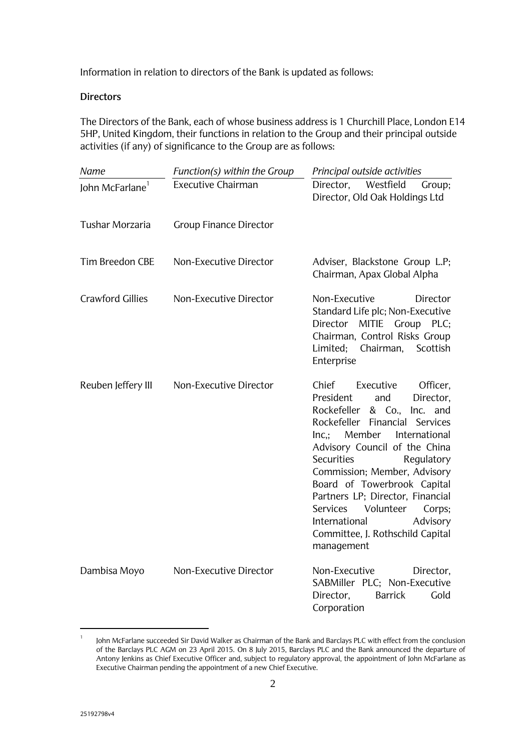Information in relation to directors of the Bank is updated as follows:

## **Directors**

The Directors of the Bank, each of whose business address is 1 Churchill Place, London E14 5HP, United Kingdom, their functions in relation to the Group and their principal outside activities (if any) of significance to the Group are as follows:

| Name                        | Function(s) within the Group  | Principal outside activities                                                                                                                                                                                                                                                                                                                                                                                                                                         |
|-----------------------------|-------------------------------|----------------------------------------------------------------------------------------------------------------------------------------------------------------------------------------------------------------------------------------------------------------------------------------------------------------------------------------------------------------------------------------------------------------------------------------------------------------------|
| John McFarlane <sup>1</sup> | Executive Chairman            | Director,<br>Westfield<br>Group;<br>Director, Old Oak Holdings Ltd                                                                                                                                                                                                                                                                                                                                                                                                   |
| <b>Tushar Morzaria</b>      | <b>Group Finance Director</b> |                                                                                                                                                                                                                                                                                                                                                                                                                                                                      |
| <b>Tim Breedon CBE</b>      | Non-Executive Director        | Adviser, Blackstone Group L.P;<br>Chairman, Apax Global Alpha                                                                                                                                                                                                                                                                                                                                                                                                        |
| <b>Crawford Gillies</b>     | Non-Executive Director        | Non-Executive<br>Director<br>Standard Life plc; Non-Executive<br><b>MITIE</b><br>Group<br>Director<br>PLC;<br>Chairman, Control Risks Group<br>Limited;<br>Chairman,<br>Scottish<br>Enterprise                                                                                                                                                                                                                                                                       |
| Reuben Jeffery III          | Non-Executive Director        | Chief<br>Executive<br>Officer,<br>President<br>and<br>Director,<br>Rockefeller<br>& Co.,<br>Inc. and<br>Rockefeller Financial<br>Services<br>Member<br>Inc<br>International<br>Advisory Council of the China<br>Securities<br>Regulatory<br>Commission; Member, Advisory<br>Board of Towerbrook Capital<br>Partners LP; Director, Financial<br><b>Services</b><br>Volunteer<br>Corps;<br>International<br>Advisory<br>Committee, J. Rothschild Capital<br>management |
| Dambisa Moyo                | Non-Executive Director        | Non-Executive<br>Director,<br>SABMiller PLC; Non-Executive<br>Director,<br><b>Barrick</b><br>Gold<br>Corporation                                                                                                                                                                                                                                                                                                                                                     |

<sup>1</sup> John McFarlane succeeded Sir David Walker as Chairman of the Bank and Barclays PLC with effect from the conclusion of the Barclays PLC AGM on 23 April 2015. On 8 July 2015, Barclays PLC and the Bank announced the departure of Antony Jenkins as Chief Executive Officer and, subject to regulatory approval, the appointment of John McFarlane as Executive Chairman pending the appointment of a new Chief Executive.

1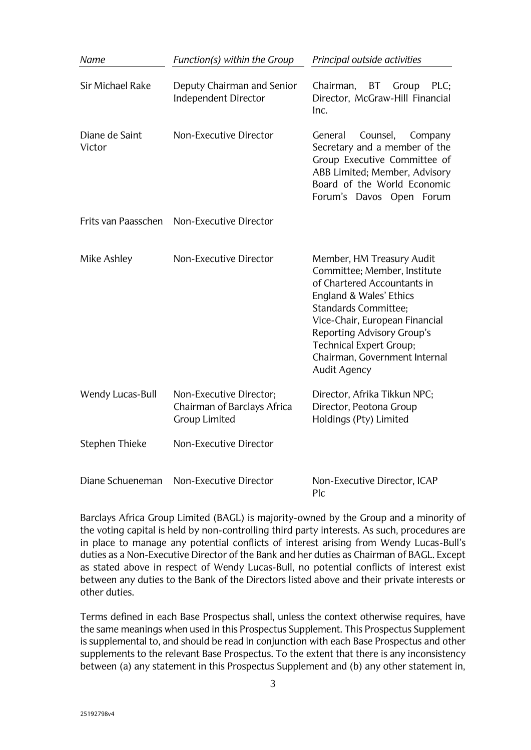| Name                     | Function(s) within the Group                                                   | Principal outside activities                                                                                                                                                                                                                                                                                 |
|--------------------------|--------------------------------------------------------------------------------|--------------------------------------------------------------------------------------------------------------------------------------------------------------------------------------------------------------------------------------------------------------------------------------------------------------|
| <b>Sir Michael Rake</b>  | Deputy Chairman and Senior<br>Independent Director                             | BT<br>PLC:<br>Chairman,<br>Group<br>Director, McGraw-Hill Financial<br>Inc.                                                                                                                                                                                                                                  |
| Diane de Saint<br>Victor | Non-Executive Director                                                         | Counsel,<br>Company<br>General<br>Secretary and a member of the<br>Group Executive Committee of<br>ABB Limited; Member, Advisory<br>Board of the World Economic<br>Forum's Davos Open Forum                                                                                                                  |
| Frits van Paasschen      | Non-Executive Director                                                         |                                                                                                                                                                                                                                                                                                              |
| Mike Ashley              | Non-Executive Director                                                         | Member, HM Treasury Audit<br>Committee; Member, Institute<br>of Chartered Accountants in<br>England & Wales' Ethics<br><b>Standards Committee;</b><br>Vice-Chair, European Financial<br>Reporting Advisory Group's<br><b>Technical Expert Group;</b><br>Chairman, Government Internal<br><b>Audit Agency</b> |
| Wendy Lucas-Bull         | Non-Executive Director;<br>Chairman of Barclays Africa<br><b>Group Limited</b> | Director, Afrika Tikkun NPC;<br>Director, Peotona Group<br>Holdings (Pty) Limited                                                                                                                                                                                                                            |
| Stephen Thieke           | Non-Executive Director                                                         |                                                                                                                                                                                                                                                                                                              |
| Diane Schueneman         | Non-Executive Director                                                         | Non-Executive Director, ICAP<br>P <sub>c</sub>                                                                                                                                                                                                                                                               |

Barclays Africa Group Limited (BAGL) is majority-owned by the Group and a minority of the voting capital is held by non-controlling third party interests. As such, procedures are in place to manage any potential conflicts of interest arising from Wendy Lucas-Bull's duties as a Non-Executive Director of the Bank and her duties as Chairman of BAGL. Except as stated above in respect of Wendy Lucas-Bull, no potential conflicts of interest exist between any duties to the Bank of the Directors listed above and their private interests or other duties.

Terms defined in each Base Prospectus shall, unless the context otherwise requires, have the same meanings when used in this Prospectus Supplement. This Prospectus Supplement is supplemental to, and should be read in conjunction with each Base Prospectus and other supplements to the relevant Base Prospectus. To the extent that there is any inconsistency between (a) any statement in this Prospectus Supplement and (b) any other statement in,